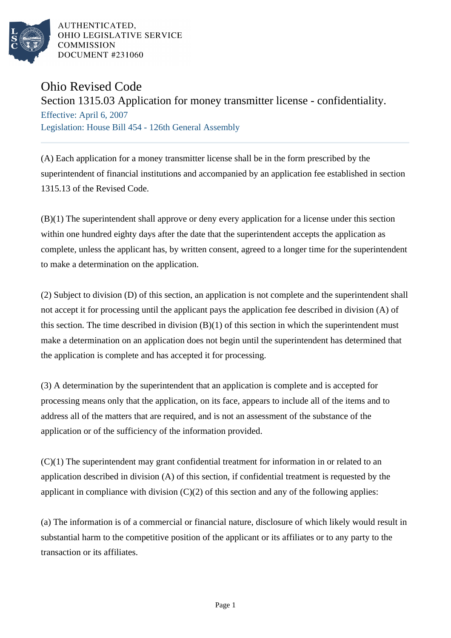

AUTHENTICATED. OHIO LEGISLATIVE SERVICE **COMMISSION DOCUMENT #231060** 

## Ohio Revised Code

Section 1315.03 Application for money transmitter license - confidentiality.

Effective: April 6, 2007 Legislation: House Bill 454 - 126th General Assembly

(A) Each application for a money transmitter license shall be in the form prescribed by the superintendent of financial institutions and accompanied by an application fee established in section 1315.13 of the Revised Code.

(B)(1) The superintendent shall approve or deny every application for a license under this section within one hundred eighty days after the date that the superintendent accepts the application as complete, unless the applicant has, by written consent, agreed to a longer time for the superintendent to make a determination on the application.

(2) Subject to division (D) of this section, an application is not complete and the superintendent shall not accept it for processing until the applicant pays the application fee described in division (A) of this section. The time described in division  $(B)(1)$  of this section in which the superintendent must make a determination on an application does not begin until the superintendent has determined that the application is complete and has accepted it for processing.

(3) A determination by the superintendent that an application is complete and is accepted for processing means only that the application, on its face, appears to include all of the items and to address all of the matters that are required, and is not an assessment of the substance of the application or of the sufficiency of the information provided.

(C)(1) The superintendent may grant confidential treatment for information in or related to an application described in division (A) of this section, if confidential treatment is requested by the applicant in compliance with division  $(C)(2)$  of this section and any of the following applies:

(a) The information is of a commercial or financial nature, disclosure of which likely would result in substantial harm to the competitive position of the applicant or its affiliates or to any party to the transaction or its affiliates.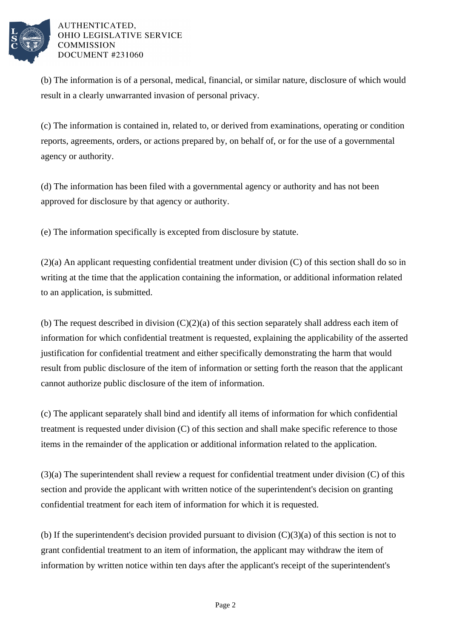

AUTHENTICATED. OHIO LEGISLATIVE SERVICE **COMMISSION DOCUMENT #231060** 

(b) The information is of a personal, medical, financial, or similar nature, disclosure of which would result in a clearly unwarranted invasion of personal privacy.

(c) The information is contained in, related to, or derived from examinations, operating or condition reports, agreements, orders, or actions prepared by, on behalf of, or for the use of a governmental agency or authority.

(d) The information has been filed with a governmental agency or authority and has not been approved for disclosure by that agency or authority.

(e) The information specifically is excepted from disclosure by statute.

(2)(a) An applicant requesting confidential treatment under division (C) of this section shall do so in writing at the time that the application containing the information, or additional information related to an application, is submitted.

(b) The request described in division  $(C)(2)(a)$  of this section separately shall address each item of information for which confidential treatment is requested, explaining the applicability of the asserted justification for confidential treatment and either specifically demonstrating the harm that would result from public disclosure of the item of information or setting forth the reason that the applicant cannot authorize public disclosure of the item of information.

(c) The applicant separately shall bind and identify all items of information for which confidential treatment is requested under division (C) of this section and shall make specific reference to those items in the remainder of the application or additional information related to the application.

(3)(a) The superintendent shall review a request for confidential treatment under division (C) of this section and provide the applicant with written notice of the superintendent's decision on granting confidential treatment for each item of information for which it is requested.

(b) If the superintendent's decision provided pursuant to division  $(C)(3)(a)$  of this section is not to grant confidential treatment to an item of information, the applicant may withdraw the item of information by written notice within ten days after the applicant's receipt of the superintendent's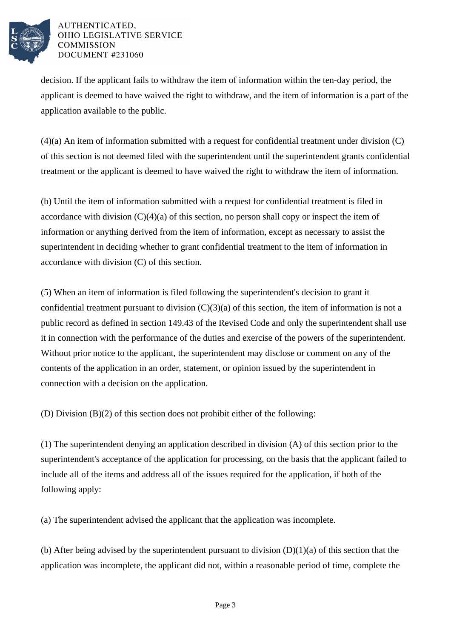

## AUTHENTICATED. OHIO LEGISLATIVE SERVICE **COMMISSION DOCUMENT #231060**

decision. If the applicant fails to withdraw the item of information within the ten-day period, the applicant is deemed to have waived the right to withdraw, and the item of information is a part of the application available to the public.

(4)(a) An item of information submitted with a request for confidential treatment under division (C) of this section is not deemed filed with the superintendent until the superintendent grants confidential treatment or the applicant is deemed to have waived the right to withdraw the item of information.

(b) Until the item of information submitted with a request for confidential treatment is filed in accordance with division  $(C)(4)(a)$  of this section, no person shall copy or inspect the item of information or anything derived from the item of information, except as necessary to assist the superintendent in deciding whether to grant confidential treatment to the item of information in accordance with division (C) of this section.

(5) When an item of information is filed following the superintendent's decision to grant it confidential treatment pursuant to division  $(C)(3)(a)$  of this section, the item of information is not a public record as defined in section 149.43 of the Revised Code and only the superintendent shall use it in connection with the performance of the duties and exercise of the powers of the superintendent. Without prior notice to the applicant, the superintendent may disclose or comment on any of the contents of the application in an order, statement, or opinion issued by the superintendent in connection with a decision on the application.

(D) Division (B)(2) of this section does not prohibit either of the following:

(1) The superintendent denying an application described in division (A) of this section prior to the superintendent's acceptance of the application for processing, on the basis that the applicant failed to include all of the items and address all of the issues required for the application, if both of the following apply:

(a) The superintendent advised the applicant that the application was incomplete.

(b) After being advised by the superintendent pursuant to division  $(D)(1)(a)$  of this section that the application was incomplete, the applicant did not, within a reasonable period of time, complete the